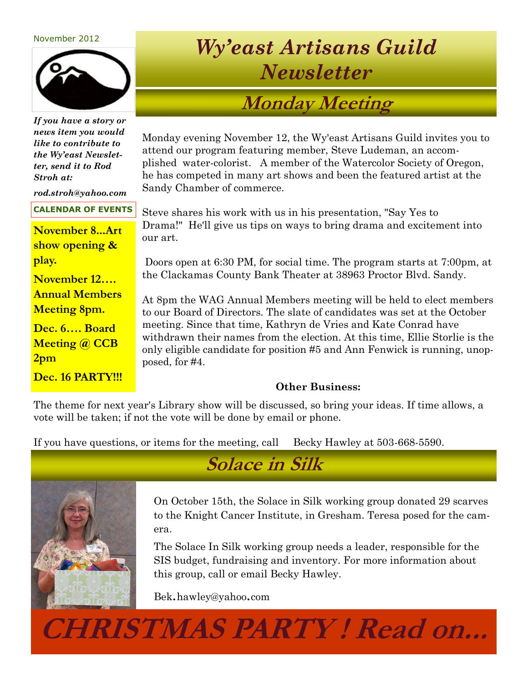#### November 2012



*If you have a story or news item you would like to contribute to the Wy'east Newsletter, send it to Rod Stroh at:*

*rod.stroh@yahoo.com* 

#### **CALENDAR OF EVENTS**

**November 8...Art show opening & play.** 

**November 12…. Annual Members Meeting 8pm.**

**Dec. 6…. Board Meeting @ CCB 2pm**

**Dec. 16 PARTY!!!**

# *Wy'east Artisans Guild Newsletter*

## **Monday Meeting**

Monday evening November 12, the Wy'east Artisans Guild invites you to attend our program featuring member, Steve Ludeman, an accomplished water-colorist. A member of the Watercolor Society of Oregon, he has competed in many art shows and been the featured artist at the Sandy Chamber of commerce.

Steve shares his work with us in his presentation, "Say Yes to Drama!" He'll give us tips on ways to bring drama and excitement into our art.

Doors open at 6:30 PM, for social time. The program starts at 7:00pm, at the Clackamas County Bank Theater at 38963 Proctor Blvd. Sandy.

At 8pm the WAG Annual Members meeting will be held to elect members to our Board of Directors. The slate of candidates was set at the October meeting. Since that time, Kathryn de Vries and Kate Conrad have withdrawn their names from the election. At this time, Ellie Storlie is the only eligible candidate for position #5 and Ann Fenwick is running, unopposed, for #4.

#### **Other Business:**

The theme for next year's Library show will be discussed, so bring your ideas. If time allows, a vote will be taken; if not the vote will be done by email or phone.

If you have questions, or items for the meeting, call Becky Hawley at 503-668-5590.



**Solace in Silk**

On October 15th, the Solace in Silk working group donated 29 scarves to the Knight Cancer Institute, in Gresham. Teresa posed for the camera.

The Solace In Silk working group needs a leader, responsible for the SIS budget, fundraising and inventory. For more information about this group, call or email Becky Hawley.

Bek.hawley@yahoo.com

**CHRISTMAS PARTY ! Read on...**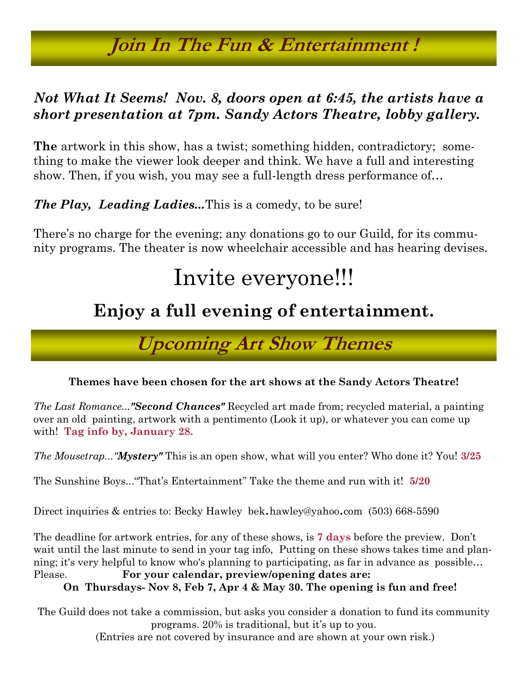# **Join In The Fun & Entertainment !**

### *Not What It Seems! Nov. 8, doors open at 6:45, the artists have a short presentation at 7pm. Sandy Actors Theatre, lobby gallery.*

**The** artwork in this show, has a twist; something hidden, contradictory; something to make the viewer look deeper and think. We have a full and interesting show. Then, if you wish, you may see a full-length dress performance of…

*The Play, Leading Ladies...*This is a comedy, to be sure!

There's no charge for the evening; any donations go to our Guild, for its community programs. The theater is now wheelchair accessible and has hearing devises.

# Invite everyone!!!

## **Enjoy a full evening of entertainment.**

**Upcoming Art Show Themes**

#### **Themes have been chosen for the art shows at the Sandy Actors Theatre!**

*The Last Romance..."Second Chances"* Recycled art made from; recycled material, a painting over an old painting, artwork with a pentimento (Look it up), or whatever you can come up with! **Tag info by, January 28.**

*The Mousetrap..."Mystery"* This is an open show, what will you enter? Who done it? You! **3/25**

The Sunshine Boys..."That's Entertainment" Take the theme and run with it! **5/20**

Direct inquiries & entries to: Becky Hawley bek.hawley@yahoo.com (503) 668-5590

The deadline for artwork entries, for any of these shows, is **7 days** before the preview. Don't wait until the last minute to send in your tag info, Putting on these shows takes time and planning; it's very helpful to know who's planning to participating, as far in advance as possible… Please. **For your calendar, preview/opening dates are:** 

 **On Thursdays- Nov 8, Feb 7, Apr 4 & May 30. The opening is fun and free!**

The Guild does not take a commission, but asks you consider a donation to fund its community programs. 20% is traditional, but it's up to you.

(Entries are not covered by insurance and are shown at your own risk.)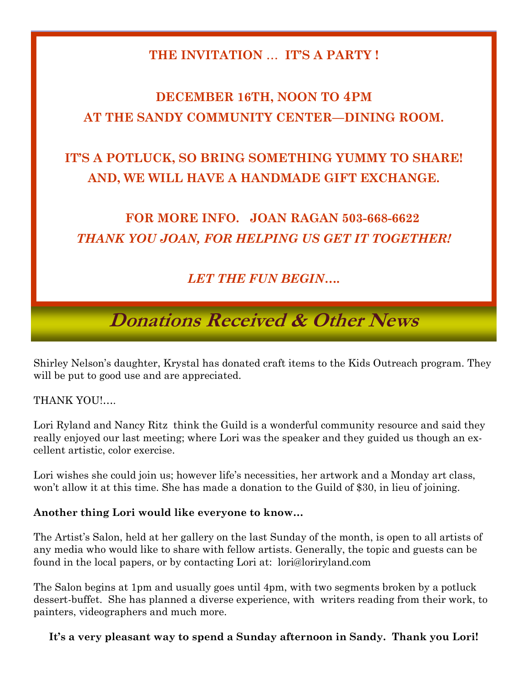### **THE INVITATION** … **IT'S A PARTY !**

## **DECEMBER 16TH, NOON TO 4PM AT THE SANDY COMMUNITY CENTER—DINING ROOM.**

## **IT'S A POTLUCK, SO BRING SOMETHING YUMMY TO SHARE! AND, WE WILL HAVE A HANDMADE GIFT EXCHANGE.**

## **FOR MORE INFO. JOAN RAGAN 503-668-6622** *THANK YOU JOAN, FOR HELPING US GET IT TOGETHER!*

### *LET THE FUN BEGIN….*

# **Donations Received & Other News**

Shirley Nelson's daughter, Krystal has donated craft items to the Kids Outreach program. They will be put to good use and are appreciated.

THANK YOU!….

Lori Ryland and Nancy Ritz think the Guild is a wonderful community resource and said they really enjoyed our last meeting; where Lori was the speaker and they guided us though an excellent artistic, color exercise.

Lori wishes she could join us; however life's necessities, her artwork and a Monday art class, won't allow it at this time. She has made a donation to the Guild of \$30, in lieu of joining.

#### **Another thing Lori would like everyone to know…**

The Artist's Salon, held at her gallery on the last Sunday of the month, is open to all artists of any media who would like to share with fellow artists. Generally, the topic and guests can be found in the local papers, or by contacting Lori at: lori@loriryland.com

The Salon begins at 1pm and usually goes until 4pm, with two segments broken by a potluck dessert-buffet. She has planned a diverse experience, with writers reading from their work, to painters, videographers and much more.

**It's a very pleasant way to spend a Sunday afternoon in Sandy. Thank you Lori!**